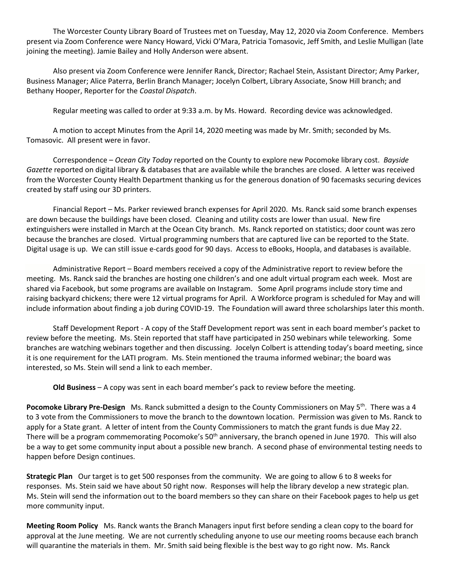The Worcester County Library Board of Trustees met on Tuesday, May 12, 2020 via Zoom Conference. Members present via Zoom Conference were Nancy Howard, Vicki O'Mara, Patricia Tomasovic, Jeff Smith, and Leslie Mulligan (late joining the meeting). Jamie Bailey and Holly Anderson were absent.

Also present via Zoom Conference were Jennifer Ranck, Director; Rachael Stein, Assistant Director; Amy Parker, Business Manager; Alice Paterra, Berlin Branch Manager; Jocelyn Colbert, Library Associate, Snow Hill branch; and Bethany Hooper, Reporter for the *Coastal Dispatch*.

Regular meeting was called to order at 9:33 a.m. by Ms. Howard. Recording device was acknowledged.

A motion to accept Minutes from the April 14, 2020 meeting was made by Mr. Smith; seconded by Ms. Tomasovic. All present were in favor.

Correspondence – *Ocean City Today* reported on the County to explore new Pocomoke library cost. *Bayside Gazette* reported on digital library & databases that are available while the branches are closed. A letter was received from the Worcester County Health Department thanking us for the generous donation of 90 facemasks securing devices created by staff using our 3D printers.

Financial Report – Ms. Parker reviewed branch expenses for April 2020. Ms. Ranck said some branch expenses are down because the buildings have been closed. Cleaning and utility costs are lower than usual. New fire extinguishers were installed in March at the Ocean City branch. Ms. Ranck reported on statistics; door count was zero because the branches are closed. Virtual programming numbers that are captured live can be reported to the State. Digital usage is up. We can still issue e-cards good for 90 days. Access to eBooks, Hoopla, and databases is available.

Administrative Report – Board members received a copy of the Administrative report to review before the meeting. Ms. Ranck said the branches are hosting one children's and one adult virtual program each week. Most are shared via Facebook, but some programs are available on Instagram. Some April programs include story time and raising backyard chickens; there were 12 virtual programs for April. A Workforce program is scheduled for May and will include information about finding a job during COVID-19. The Foundation will award three scholarships later this month.

Staff Development Report - A copy of the Staff Development report was sent in each board member's packet to review before the meeting. Ms. Stein reported that staff have participated in 250 webinars while teleworking. Some branches are watching webinars together and then discussing. Jocelyn Colbert is attending today's board meeting, since it is one requirement for the LATI program. Ms. Stein mentioned the trauma informed webinar; the board was interested, so Ms. Stein will send a link to each member.

**Old Business** – A copy was sent in each board member's pack to review before the meeting.

**Pocomoke Library Pre-Design** Ms. Ranck submitted a design to the County Commissioners on May 5<sup>th</sup>. There was a 4 to 3 vote from the Commissioners to move the branch to the downtown location. Permission was given to Ms. Ranck to apply for a State grant. A letter of intent from the County Commissioners to match the grant funds is due May 22. There will be a program commemorating Pocomoke's  $50<sup>th</sup>$  anniversary, the branch opened in June 1970. This will also be a way to get some community input about a possible new branch. A second phase of environmental testing needs to happen before Design continues.

**Strategic Plan** Our target is to get 500 responses from the community. We are going to allow 6 to 8 weeks for responses. Ms. Stein said we have about 50 right now. Responses will help the library develop a new strategic plan. Ms. Stein will send the information out to the board members so they can share on their Facebook pages to help us get more community input.

**Meeting Room Policy** Ms. Ranck wants the Branch Managers input first before sending a clean copy to the board for approval at the June meeting. We are not currently scheduling anyone to use our meeting rooms because each branch will quarantine the materials in them. Mr. Smith said being flexible is the best way to go right now. Ms. Ranck